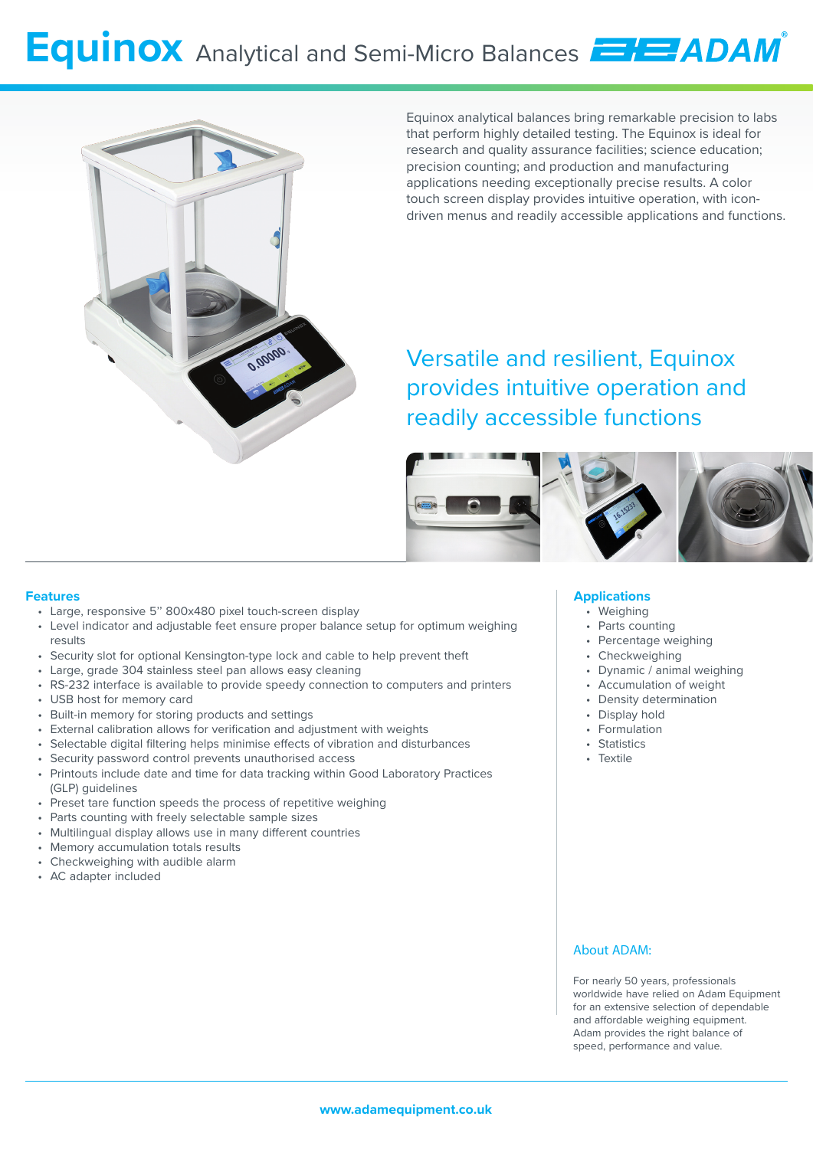# **Equinox** Analytical and Semi-Micro Balances **ENE ADAM**



Equinox analytical balances bring remarkable precision to labs that perform highly detailed testing. The Equinox is ideal for research and quality assurance facilities; science education; precision counting; and production and manufacturing applications needing exceptionally precise results. A color touch screen display provides intuitive operation, with icondriven menus and readily accessible applications and functions.

Versatile and resilient, Equinox provides intuitive operation and readily accessible functions



#### **Features**

- Large, responsive 5'' 800x480 pixel touch-screen display
- Level indicator and adjustable feet ensure proper balance setup for optimum weighing results
- Security slot for optional Kensington-type lock and cable to help prevent theft
- Large, grade 304 stainless steel pan allows easy cleaning
- RS-232 interface is available to provide speedy connection to computers and printers
- USB host for memory card
- Built-in memory for storing products and settings
- External calibration allows for verification and adjustment with weights
- Selectable digital filtering helps minimise effects of vibration and disturbances
- Security password control prevents unauthorised access
- Printouts include date and time for data tracking within Good Laboratory Practices (GLP) guidelines
- Preset tare function speeds the process of repetitive weighing
- Parts counting with freely selectable sample sizes
- Multilingual display allows use in many different countries
- Memory accumulation totals results
- Checkweighing with audible alarm
- AC adapter included

#### **Applications**

- Weighing
- Parts counting
- Percentage weighing
- Checkweighing
- Dynamic / animal weighing
- Accumulation of weight
- Density determination
- Display hold
- Formulation
- Statistics
- Textile
- 

#### About ADAM:

For nearly 50 years, professionals worldwide have relied on Adam Equipment for an extensive selection of dependable and affordable weighing equipment. Adam provides the right balance of speed, performance and value.